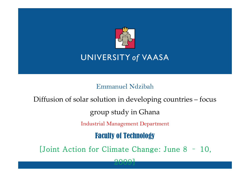

## **UNIVERSITY of VAASA**

Emmanuel Ndzibah

Diffusion of solar solution in developing countries – focus

group study in Ghana

Industrial Management Department

Faculty of Technology

[Joint Action for Climate Change: June 8 – 10,

2009]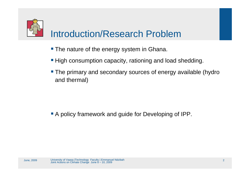

# Introduction/Research Problem

- **The nature of the energy system in Ghana.**
- **High consumption capacity, rationing and load shedding.**
- **The primary and secondary sources of energy available (hydro** and thermal)

A policy framework and guide for Developing of IPP.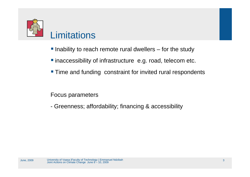

## **Limitations**

- $\blacksquare$  Inability to reach remote rural dwellers  $-$  for the study
- **T** inaccessibility of infrastructure e.g. road, telecom etc.
- **Time and funding constraint for invited rural respondents**

Focus parameters

- Greenness; affordability; financing & accessibility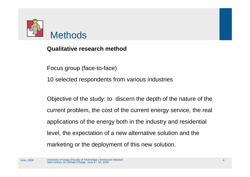

**Qualitative research method**

Focus group (face-to-face)

10 selected respondents from various industries

Objective of the study: to discern the depth of the nature of the current problem, the cost of the current energy service, the real applications of the energy both in the industry and residential level, the expectation of a new alternative solution and the marketing or the deployment of this new solution.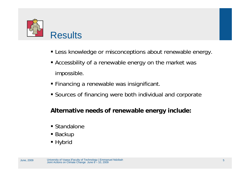

- Less knowledge or misconceptions about renewable energy.
- Accessbility of a renewable energy on the market was impossible.
- Financing a renewable was insignificant.
- Sources of financing were both individual and corporate

#### **Alternative needs of renewable energy include:**

- Standalone
- Backup
- Hybrid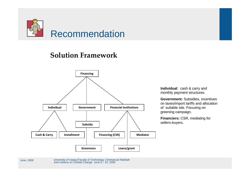

### **Solution Framework**



**Individual**: cash & carry and monthly payment structures.

**Government:** Subsidies, incentives on taxes/import tariffs and allocation of suitable site. Focusing on greening campaign.

**Financiers:** CSR, mediating for sellers-buyers.

University of Vaasa |Faculty of Technology | Emmanuel Ndzibah Joint Actions on Climate Change June 8 – 10, 2009 June, 2009